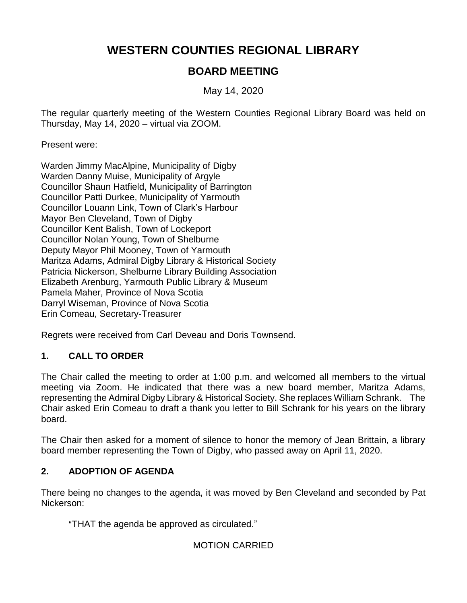# **WESTERN COUNTIES REGIONAL LIBRARY**

## **BOARD MEETING**

May 14, 2020

The regular quarterly meeting of the Western Counties Regional Library Board was held on Thursday, May 14, 2020 – virtual via ZOOM.

Present were:

Warden Jimmy MacAlpine, Municipality of Digby Warden Danny Muise, Municipality of Argyle Councillor Shaun Hatfield, Municipality of Barrington Councillor Patti Durkee, Municipality of Yarmouth Councillor Louann Link, Town of Clark's Harbour Mayor Ben Cleveland, Town of Digby Councillor Kent Balish, Town of Lockeport Councillor Nolan Young, Town of Shelburne Deputy Mayor Phil Mooney, Town of Yarmouth Maritza Adams, Admiral Digby Library & Historical Society Patricia Nickerson, Shelburne Library Building Association Elizabeth Arenburg, Yarmouth Public Library & Museum Pamela Maher, Province of Nova Scotia Darryl Wiseman, Province of Nova Scotia Erin Comeau, Secretary-Treasurer

Regrets were received from Carl Deveau and Doris Townsend.

## **1. CALL TO ORDER**

The Chair called the meeting to order at 1:00 p.m. and welcomed all members to the virtual meeting via Zoom. He indicated that there was a new board member, Maritza Adams, representing the Admiral Digby Library & Historical Society. She replaces William Schrank. The Chair asked Erin Comeau to draft a thank you letter to Bill Schrank for his years on the library board.

The Chair then asked for a moment of silence to honor the memory of Jean Brittain, a library board member representing the Town of Digby, who passed away on April 11, 2020.

## **2. ADOPTION OF AGENDA**

There being no changes to the agenda, it was moved by Ben Cleveland and seconded by Pat Nickerson:

"THAT the agenda be approved as circulated."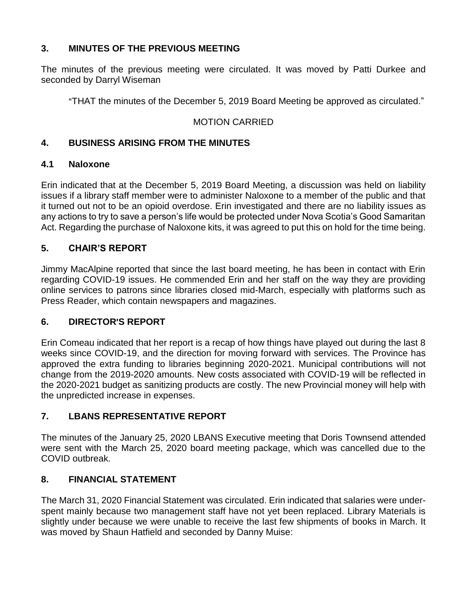## **3. MINUTES OF THE PREVIOUS MEETING**

The minutes of the previous meeting were circulated. It was moved by Patti Durkee and seconded by Darryl Wiseman

"THAT the minutes of the December 5, 2019 Board Meeting be approved as circulated."

## MOTION CARRIED

#### **4. BUSINESS ARISING FROM THE MINUTES**

#### **4.1 Naloxone**

Erin indicated that at the December 5, 2019 Board Meeting, a discussion was held on liability issues if a library staff member were to administer Naloxone to a member of the public and that it turned out not to be an opioid overdose. Erin investigated and there are no liability issues as any actions to try to save a person's life would be protected under Nova Scotia's Good Samaritan Act. Regarding the purchase of Naloxone kits, it was agreed to put this on hold for the time being.

## **5. CHAIR'S REPORT**

Jimmy MacAlpine reported that since the last board meeting, he has been in contact with Erin regarding COVID-19 issues. He commended Erin and her staff on the way they are providing online services to patrons since libraries closed mid-March, especially with platforms such as Press Reader, which contain newspapers and magazines.

## **6. DIRECTOR**=**S REPORT**

Erin Comeau indicated that her report is a recap of how things have played out during the last 8 weeks since COVID-19, and the direction for moving forward with services. The Province has approved the extra funding to libraries beginning 2020-2021. Municipal contributions will not change from the 2019-2020 amounts. New costs associated with COVID-19 will be reflected in the 2020-2021 budget as sanitizing products are costly. The new Provincial money will help with the unpredicted increase in expenses.

## **7. LBANS REPRESENTATIVE REPORT**

The minutes of the January 25, 2020 LBANS Executive meeting that Doris Townsend attended were sent with the March 25, 2020 board meeting package, which was cancelled due to the COVID outbreak.

#### **8. FINANCIAL STATEMENT**

The March 31, 2020 Financial Statement was circulated. Erin indicated that salaries were underspent mainly because two management staff have not yet been replaced. Library Materials is slightly under because we were unable to receive the last few shipments of books in March. It was moved by Shaun Hatfield and seconded by Danny Muise: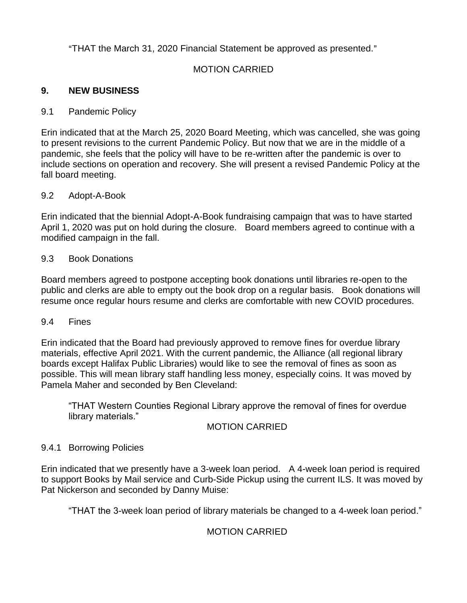"THAT the March 31, 2020 Financial Statement be approved as presented."

## MOTION CARRIED

## **9. NEW BUSINESS**

#### 9.1 Pandemic Policy

Erin indicated that at the March 25, 2020 Board Meeting, which was cancelled, she was going to present revisions to the current Pandemic Policy. But now that we are in the middle of a pandemic, she feels that the policy will have to be re-written after the pandemic is over to include sections on operation and recovery. She will present a revised Pandemic Policy at the fall board meeting.

#### 9.2 Adopt-A-Book

Erin indicated that the biennial Adopt-A-Book fundraising campaign that was to have started April 1, 2020 was put on hold during the closure. Board members agreed to continue with a modified campaign in the fall.

#### 9.3 Book Donations

Board members agreed to postpone accepting book donations until libraries re-open to the public and clerks are able to empty out the book drop on a regular basis. Book donations will resume once regular hours resume and clerks are comfortable with new COVID procedures.

#### 9.4 Fines

Erin indicated that the Board had previously approved to remove fines for overdue library materials, effective April 2021. With the current pandemic, the Alliance (all regional library boards except Halifax Public Libraries) would like to see the removal of fines as soon as possible. This will mean library staff handling less money, especially coins. It was moved by Pamela Maher and seconded by Ben Cleveland:

"THAT Western Counties Regional Library approve the removal of fines for overdue library materials."

#### MOTION CARRIED

#### 9.4.1 Borrowing Policies

Erin indicated that we presently have a 3-week loan period. A 4-week loan period is required to support Books by Mail service and Curb-Side Pickup using the current ILS. It was moved by Pat Nickerson and seconded by Danny Muise:

"THAT the 3-week loan period of library materials be changed to a 4-week loan period."

## MOTION CARRIED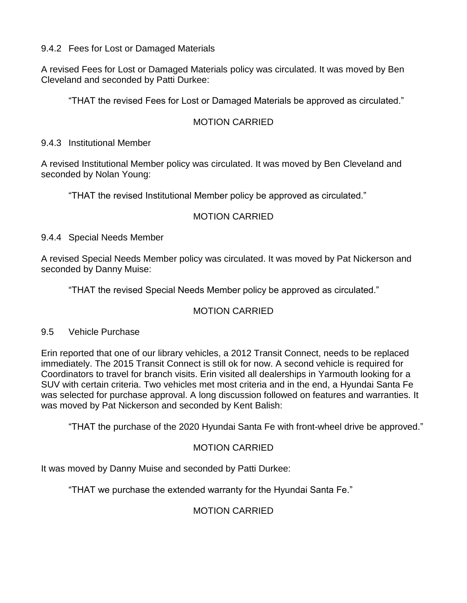9.4.2 Fees for Lost or Damaged Materials

A revised Fees for Lost or Damaged Materials policy was circulated. It was moved by Ben Cleveland and seconded by Patti Durkee:

"THAT the revised Fees for Lost or Damaged Materials be approved as circulated."

## MOTION CARRIED

9.4.3 Institutional Member

A revised Institutional Member policy was circulated. It was moved by Ben Cleveland and seconded by Nolan Young:

"THAT the revised Institutional Member policy be approved as circulated."

## MOTION CARRIED

#### 9.4.4 Special Needs Member

A revised Special Needs Member policy was circulated. It was moved by Pat Nickerson and seconded by Danny Muise:

"THAT the revised Special Needs Member policy be approved as circulated."

## MOTION CARRIED

#### 9.5 Vehicle Purchase

Erin reported that one of our library vehicles, a 2012 Transit Connect, needs to be replaced immediately. The 2015 Transit Connect is still ok for now. A second vehicle is required for Coordinators to travel for branch visits. Erin visited all dealerships in Yarmouth looking for a SUV with certain criteria. Two vehicles met most criteria and in the end, a Hyundai Santa Fe was selected for purchase approval. A long discussion followed on features and warranties. It was moved by Pat Nickerson and seconded by Kent Balish:

"THAT the purchase of the 2020 Hyundai Santa Fe with front-wheel drive be approved."

## MOTION CARRIED

It was moved by Danny Muise and seconded by Patti Durkee:

"THAT we purchase the extended warranty for the Hyundai Santa Fe."

## MOTION CARRIED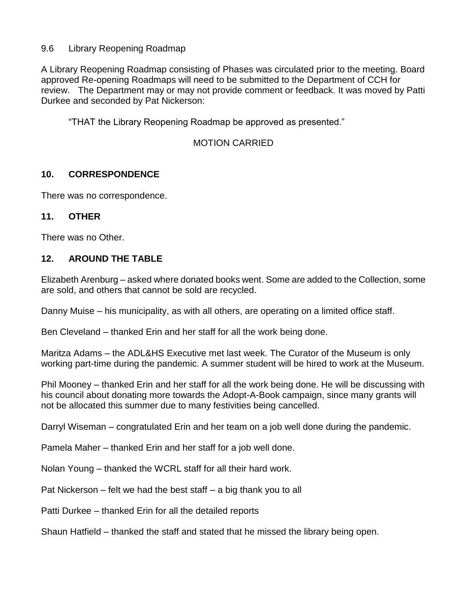#### 9.6 Library Reopening Roadmap

A Library Reopening Roadmap consisting of Phases was circulated prior to the meeting. Board approved Re-opening Roadmaps will need to be submitted to the Department of CCH for review. The Department may or may not provide comment or feedback. It was moved by Patti Durkee and seconded by Pat Nickerson:

"THAT the Library Reopening Roadmap be approved as presented."

## MOTION CARRIED

#### **10. CORRESPONDENCE**

There was no correspondence.

#### **11. OTHER**

There was no Other.

#### **12. AROUND THE TABLE**

Elizabeth Arenburg – asked where donated books went. Some are added to the Collection, some are sold, and others that cannot be sold are recycled.

Danny Muise – his municipality, as with all others, are operating on a limited office staff.

Ben Cleveland – thanked Erin and her staff for all the work being done.

Maritza Adams – the ADL&HS Executive met last week. The Curator of the Museum is only working part-time during the pandemic. A summer student will be hired to work at the Museum.

Phil Mooney – thanked Erin and her staff for all the work being done. He will be discussing with his council about donating more towards the Adopt-A-Book campaign, since many grants will not be allocated this summer due to many festivities being cancelled.

Darryl Wiseman – congratulated Erin and her team on a job well done during the pandemic.

Pamela Maher – thanked Erin and her staff for a job well done.

Nolan Young – thanked the WCRL staff for all their hard work.

Pat Nickerson – felt we had the best staff – a big thank you to all

Patti Durkee – thanked Erin for all the detailed reports

Shaun Hatfield – thanked the staff and stated that he missed the library being open.